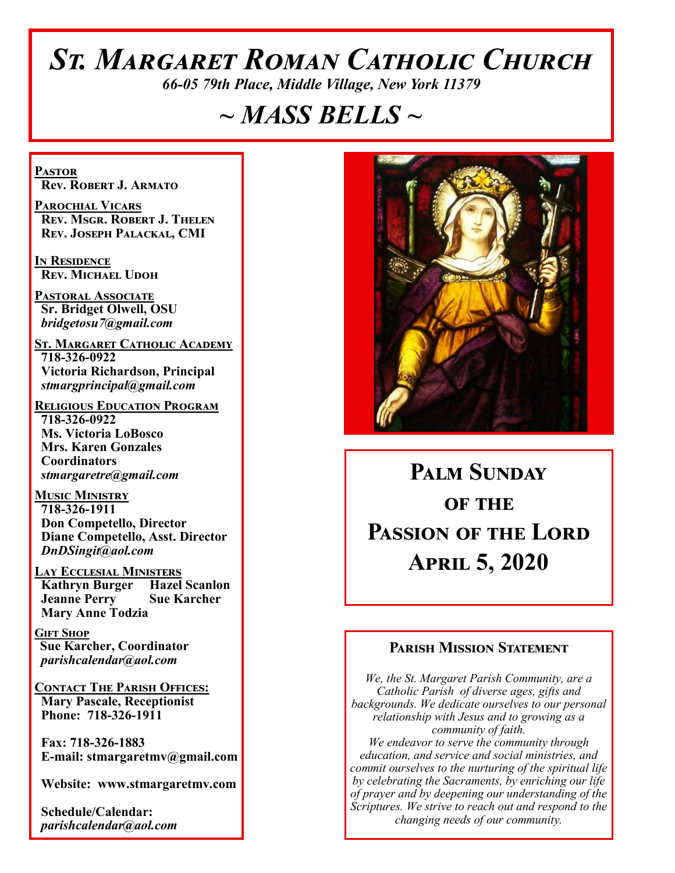# *St. Margaret Roman Catholic Church*

*66-05 79th Place, Middle Village, New York 11379*

# *~ MASS BELLS ~*

**Pastor Rev. Robert J. Armato**

**Parochial Vicars Rev. Msgr. Robert J. Thelen Rev. Joseph Palackal, CMI**

**In Residence Rev. Michael Udoh**

**Pastoral Associate Sr. Bridget Olwell, OSU**  *bridgetosu7@gmail.com*

**St. Margaret Catholic Academy 718-326-0922 Victoria Richardson, Principal**  *stmargprincipal@gmail.com*

**Religious Education Program 718-326-0922 Ms. Victoria LoBosco Mrs. Karen Gonzales Coordinators** *stmargaretre@gmail.com*

**Music Ministry 718-326-1911 Don Competello, Director Diane Competello, Asst. Director** *DnDSingit@aol.com*

**Lay Ecclesial Ministers Kathryn Burger Hazel Scanlon Jeanne Perry Sue Karcher Mary Anne Todzia**

**Gift Shop Sue Karcher, Coordinator** *parishcalendar@aol.com*

**Contact The Parish Offices: Mary Pascale, Receptionist Phone: 718-326-1911** 

 **Fax: 718-326-1883 E-mail: stmargaretmv@gmail.com**

 **Website: www.stmargaretmv.com**

 **Schedule/Calendar:** *parishcalendar@aol.com* 



# **Palm Sunday OF THE Passion of the Lord April 5, 2020**

#### **Parish Mission Statement**

*We, the St. Margaret Parish Community, are a Catholic Parish of diverse ages, gifts and backgrounds. We dedicate ourselves to our personal relationship with Jesus and to growing as a community of faith. We endeavor to serve the community through education, and service and social ministries, and commit ourselves to the nurturing of the spiritual life by celebrating the Sacraments, by enriching our life of prayer and by deepening our understanding of the Scriptures. We strive to reach out and respond to the changing needs of our community.*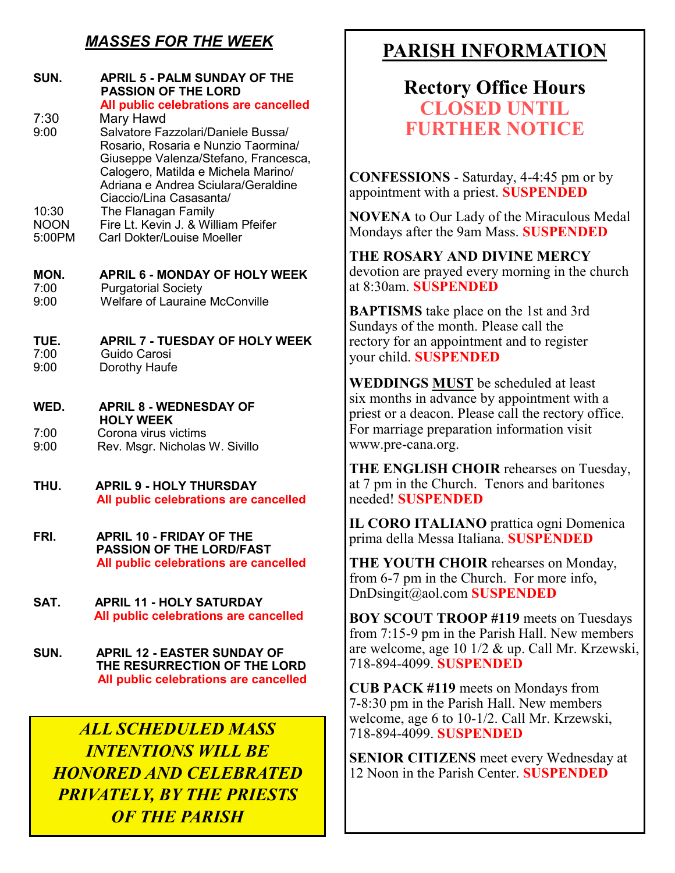# *MASSES FOR THE WEEK*

| SUN.                 | <b>APRIL 5 - PALM SUNDAY OF THE</b><br><b>PASSION OF THE LORD</b><br>All public celebrations are cancelled                                                                                      |
|----------------------|-------------------------------------------------------------------------------------------------------------------------------------------------------------------------------------------------|
| 7:30                 | Mary Hawd                                                                                                                                                                                       |
| 9:00                 | Salvatore Fazzolari/Daniele Bussa/<br>Rosario, Rosaria e Nunzio Taormina/<br>Giuseppe Valenza/Stefano, Francesca,<br>Calogero, Matilda e Michela Marino/<br>Adriana e Andrea Sciulara/Geraldine |
|                      | Ciaccio/Lina Casasanta/                                                                                                                                                                         |
| 10:30<br><b>NOON</b> | The Flanagan Family<br>Fire Lt. Kevin J. & William Pfeifer                                                                                                                                      |
| 5:00PM               | <b>Carl Dokter/Louise Moeller</b>                                                                                                                                                               |
| MON.                 | <b>APRIL 6 - MONDAY OF HOLY WEEK</b>                                                                                                                                                            |
| 7:00                 | <b>Purgatorial Society</b>                                                                                                                                                                      |
| 9:00                 | <b>Welfare of Lauraine McConville</b>                                                                                                                                                           |
| TUE.                 | <b>APRIL 7 - TUESDAY OF HOLY WEEK</b>                                                                                                                                                           |
| 7:00                 | Guido Carosi                                                                                                                                                                                    |
| 9:00                 | Dorothy Haufe                                                                                                                                                                                   |
| WED.                 | <b>APRIL 8 - WEDNESDAY OF</b><br><b>HOLY WEEK</b>                                                                                                                                               |
| 7:00                 | Corona virus victims                                                                                                                                                                            |
| 9:00                 | Rev. Msgr. Nicholas W. Sivillo                                                                                                                                                                  |
| THU.                 | <b>APRIL 9 - HOLY THURSDAY</b><br>All public celebrations are cancelled                                                                                                                         |
|                      |                                                                                                                                                                                                 |
| FRI.                 | <b>APRIL 10 - FRIDAY OF THE</b><br><b>PASSION OF THE LORD/FAST</b><br>All public celebrations are cancelled                                                                                     |
|                      | $\mathbf{11}$ $\mathbf{21}$ $\mathbf{32}$                                                                                                                                                       |

**SAT. APRIL 11 - HOLY SATURDAY All public celebrations are cancelled**

**SUN. APRIL 12 - EASTER SUNDAY OF THE RESURRECTION OF THE LORD All public celebrations are cancelled**

*ALL SCHEDULED MASS INTENTIONS WILL BE HONORED AND CELEBRATED PRIVATELY, BY THE PRIESTS OF THE PARISH*

# **PARISH INFORMATION**

# **Rectory Office Hours CLOSED UNTIL FURTHER NOTICE**

**CONFESSIONS** - Saturday, 4-4:45 pm or by appointment with a priest. **SUSPENDED**

**NOVENA** to Our Lady of the Miraculous Medal Mondays after the 9am Mass. **SUSPENDED**

**THE ROSARY AND DIVINE MERCY** devotion are prayed every morning in the church at 8:30am. **SUSPENDED**

**BAPTISMS** take place on the 1st and 3rd Sundays of the month. Please call the rectory for an appointment and to register your child. **SUSPENDED**

**WEDDINGS MUST** be scheduled at least six months in advance by appointment with a priest or a deacon. Please call the rectory office. For marriage preparation information visit www.pre-cana.org.

**THE ENGLISH CHOIR** rehearses on Tuesday, at 7 pm in the Church. Tenors and baritones needed! **SUSPENDED**

**IL CORO ITALIANO** prattica ogni Domenica prima della Messa Italiana. **SUSPENDED**

**THE YOUTH CHOIR** rehearses on Monday, from 6-7 pm in the Church. For more info, DnDsingit@aol.com **SUSPENDED**

**BOY SCOUT TROOP #119** meets on Tuesdays from 7:15-9 pm in the Parish Hall. New members are welcome, age 10 1/2 & up. Call Mr. Krzewski, 718-894-4099. **SUSPENDED**

**CUB PACK #119** meets on Mondays from 7-8:30 pm in the Parish Hall. New members welcome, age 6 to 10-1/2. Call Mr. Krzewski, 718-894-4099. **SUSPENDED**

**SENIOR CITIZENS** meet every Wednesday at 12 Noon in the Parish Center. **SUSPENDED**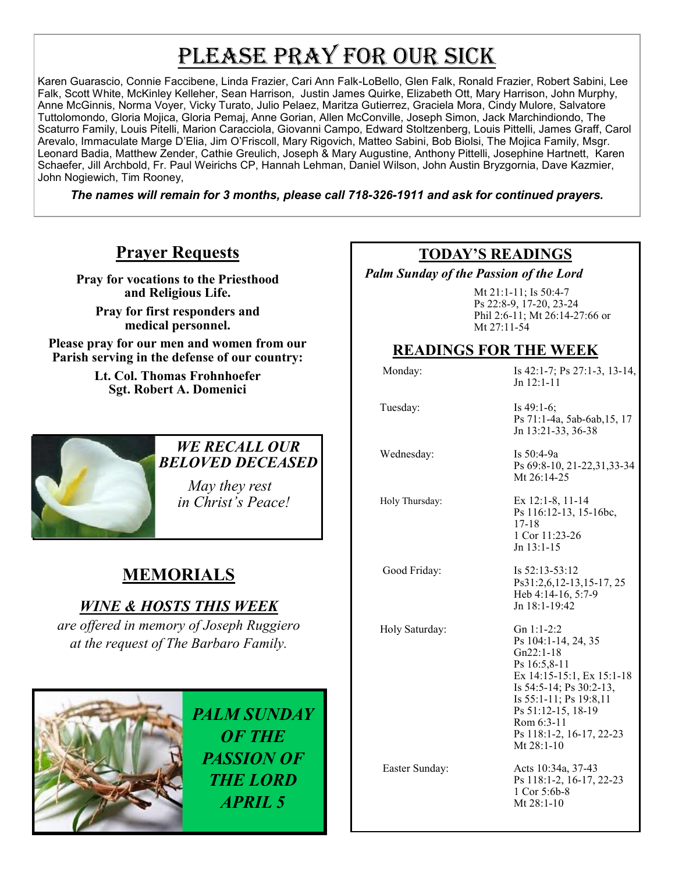# PLEASE PRAY FOR OUR SICK

Karen Guarascio, Connie Faccibene, Linda Frazier, Cari Ann Falk-LoBello, Glen Falk, Ronald Frazier, Robert Sabini, Lee Falk, Scott White, McKinley Kelleher, Sean Harrison, Justin James Quirke, Elizabeth Ott, Mary Harrison, John Murphy, Anne McGinnis, Norma Voyer, Vicky Turato, Julio Pelaez, Maritza Gutierrez, Graciela Mora, Cindy Mulore, Salvatore Tuttolomondo, Gloria Mojica, Gloria Pemaj, Anne Gorian, Allen McConville, Joseph Simon, Jack Marchindiondo, The Scaturro Family, Louis Pitelli, Marion Caracciola, Giovanni Campo, Edward Stoltzenberg, Louis Pittelli, James Graff, Carol Arevalo, Immaculate Marge D'Elia, Jim O'Friscoll, Mary Rigovich, Matteo Sabini, Bob Biolsi, The Mojica Family, Msgr. Leonard Badia, Matthew Zender, Cathie Greulich, Joseph & Mary Augustine, Anthony Pittelli, Josephine Hartnett, Karen Schaefer, Jill Archbold, Fr. Paul Weirichs CP, Hannah Lehman, Daniel Wilson, John Austin Bryzgornia, Dave Kazmier, John Nogiewich, Tim Rooney,

*The names will remain for 3 months, please call 718-326-1911 and ask for continued prayers.*

# **Prayer Requests**

**Pray for vocations to the Priesthood and Religious Life.** 

**Pray for first responders and medical personnel.**

**Please pray for our men and women from our Parish serving in the defense of our country:** 

> **Lt. Col. Thomas Frohnhoefer Sgt. Robert A. Domenici**



#### *WE RECALL OUR BELOVED DECEASED*

 *May they rest in Christ's Peace!*

# **MEMORIALS**

# *WINE & HOSTS THIS WEEK*

*are offered in memory of Joseph Ruggiero at the request of The Barbaro Family.* 



### **TODAY'S READINGS**

 *Palm Sunday of the Passion of the Lord* 

Mt 21:1-11; Is 50:4-7 Ps 22:8-9, 17-20, 23-24 Phil 2:6-11; Mt 26:14-27:66 or Mt 27:11-54

## **READINGS FOR THE WEEK**

Monday: Is 42:1-7; Ps 27:1-3, 13-14,  $Jn$  12:1-11 Tuesday: Is 49:1-6; Ps 71:1-4a, 5ab-6ab,15, 17 Jn 13:21-33, 36-38 Wednesday: Is 50:4-9a Ps 69:8-10, 21-22,31,33-34 Mt 26:14-25 Holy Thursday: Ex 12:1-8, 11-14 Ps 116:12-13, 15-16bc, 17-18 1 Cor 11:23-26 Jn 13:1-15 Good Friday: Is 52:13-53:12 Ps31:2,6,12-13,15-17, 25 Heb 4:14-16, 5:7-9 Jn 18:1-19:42 Holy Saturday: Gn 1:1-2:2 Ps 104:1-14, 24, 35 Gn22:1-18 Ps 16:5,8-11 Ex 14:15-15:1, Ex 15:1-18 Is 54:5-14; Ps 30:2-13, Is 55:1-11; Ps 19:8,11 Ps 51:12-15, 18-19 Rom 6:3-11 Ps 118:1-2, 16-17, 22-23 Mt 28:1-10 Easter Sunday: Acts 10:34a, 37-43 Ps 118:1-2, 16-17, 22-23 1 Cor 5:6b-8 Mt 28:1-10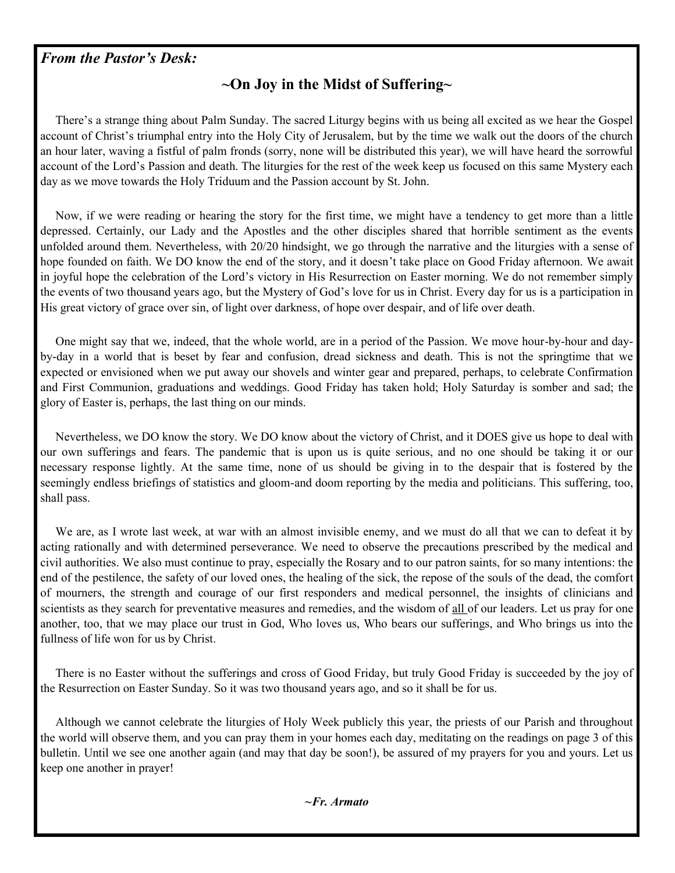#### *From the Pastor's Desk:*

## **~On Joy in the Midst of Suffering~**

 There's a strange thing about Palm Sunday. The sacred Liturgy begins with us being all excited as we hear the Gospel account of Christ's triumphal entry into the Holy City of Jerusalem, but by the time we walk out the doors of the church an hour later, waving a fistful of palm fronds (sorry, none will be distributed this year), we will have heard the sorrowful account of the Lord's Passion and death. The liturgies for the rest of the week keep us focused on this same Mystery each day as we move towards the Holy Triduum and the Passion account by St. John.

 Now, if we were reading or hearing the story for the first time, we might have a tendency to get more than a little depressed. Certainly, our Lady and the Apostles and the other disciples shared that horrible sentiment as the events unfolded around them. Nevertheless, with 20/20 hindsight, we go through the narrative and the liturgies with a sense of hope founded on faith. We DO know the end of the story, and it doesn't take place on Good Friday afternoon. We await in joyful hope the celebration of the Lord's victory in His Resurrection on Easter morning. We do not remember simply the events of two thousand years ago, but the Mystery of God's love for us in Christ. Every day for us is a participation in His great victory of grace over sin, of light over darkness, of hope over despair, and of life over death.

 One might say that we, indeed, that the whole world, are in a period of the Passion. We move hour-by-hour and dayby-day in a world that is beset by fear and confusion, dread sickness and death. This is not the springtime that we expected or envisioned when we put away our shovels and winter gear and prepared, perhaps, to celebrate Confirmation and First Communion, graduations and weddings. Good Friday has taken hold; Holy Saturday is somber and sad; the glory of Easter is, perhaps, the last thing on our minds.

 Nevertheless, we DO know the story. We DO know about the victory of Christ, and it DOES give us hope to deal with our own sufferings and fears. The pandemic that is upon us is quite serious, and no one should be taking it or our necessary response lightly. At the same time, none of us should be giving in to the despair that is fostered by the seemingly endless briefings of statistics and gloom-and doom reporting by the media and politicians. This suffering, too, shall pass.

We are, as I wrote last week, at war with an almost invisible enemy, and we must do all that we can to defeat it by acting rationally and with determined perseverance. We need to observe the precautions prescribed by the medical and civil authorities. We also must continue to pray, especially the Rosary and to our patron saints, for so many intentions: the end of the pestilence, the safety of our loved ones, the healing of the sick, the repose of the souls of the dead, the comfort of mourners, the strength and courage of our first responders and medical personnel, the insights of clinicians and scientists as they search for preventative measures and remedies, and the wisdom of all of our leaders. Let us pray for one another, too, that we may place our trust in God, Who loves us, Who bears our sufferings, and Who brings us into the fullness of life won for us by Christ.

 There is no Easter without the sufferings and cross of Good Friday, but truly Good Friday is succeeded by the joy of the Resurrection on Easter Sunday. So it was two thousand years ago, and so it shall be for us.

 Although we cannot celebrate the liturgies of Holy Week publicly this year, the priests of our Parish and throughout the world will observe them, and you can pray them in your homes each day, meditating on the readings on page 3 of this bulletin. Until we see one another again (and may that day be soon!), be assured of my prayers for you and yours. Let us keep one another in prayer!

*~Fr. Armato*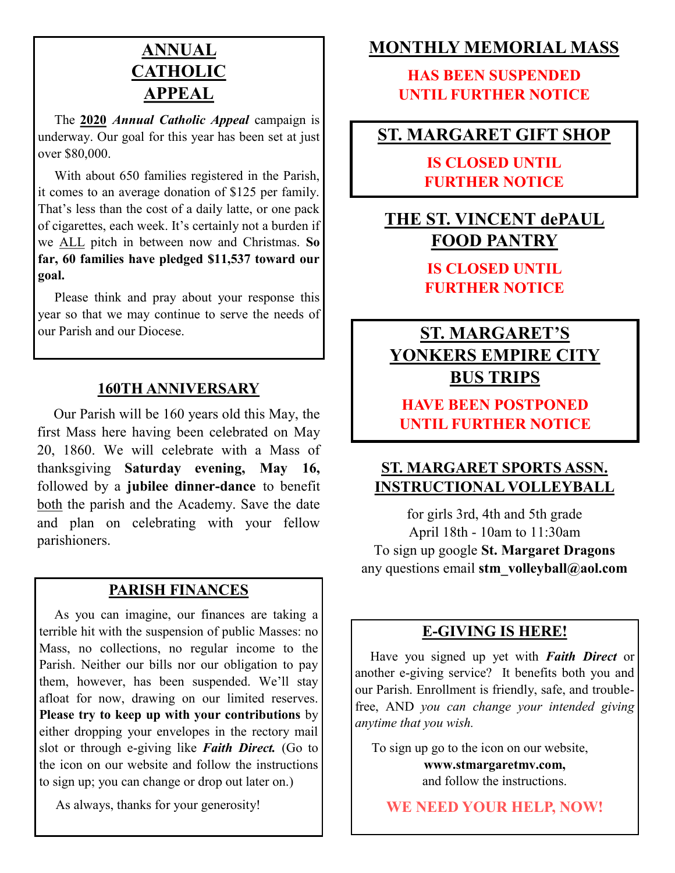# **ANNUAL CATHOLIC APPEAL**

 The **2020** *Annual Catholic Appeal* campaign is underway. Our goal for this year has been set at just over \$80,000.

 With about 650 families registered in the Parish, it comes to an average donation of \$125 per family. That's less than the cost of a daily latte, or one pack of cigarettes, each week. It's certainly not a burden if we ALL pitch in between now and Christmas. **So far, 60 families have pledged \$11,537 toward our goal.**

 Please think and pray about your response this year so that we may continue to serve the needs of our Parish and our Diocese.

#### **160TH ANNIVERSARY**

 Our Parish will be 160 years old this May, the first Mass here having been celebrated on May 20, 1860. We will celebrate with a Mass of thanksgiving **Saturday evening, May 16,**  followed by a **jubilee dinner-dance** to benefit both the parish and the Academy. Save the date and plan on celebrating with your fellow parishioners.

## **PARISH FINANCES**

 As you can imagine, our finances are taking a terrible hit with the suspension of public Masses: no Mass, no collections, no regular income to the Parish. Neither our bills nor our obligation to pay them, however, has been suspended. We'll stay afloat for now, drawing on our limited reserves. **Please try to keep up with your contributions** by either dropping your envelopes in the rectory mail slot or through e-giving like *Faith Direct.* (Go to the icon on our website and follow the instructions to sign up; you can change or drop out later on.)

As always, thanks for your generosity!

## **MONTHLY MEMORIAL MASS**

**HAS BEEN SUSPENDED UNTIL FURTHER NOTICE**

## **ST. MARGARET GIFT SHOP**

## **IS CLOSED UNTIL FURTHER NOTICE**

# **THE ST. VINCENT dePAUL FOOD PANTRY**

**IS CLOSED UNTIL FURTHER NOTICE**

# **ST. MARGARET'S YONKERS EMPIRE CITY BUS TRIPS**

**HAVE BEEN POSTPONED UNTIL FURTHER NOTICE**

## **ST. MARGARET SPORTS ASSN. INSTRUCTIONAL VOLLEYBALL**

for girls 3rd, 4th and 5th grade April 18th - 10am to 11:30am To sign up google **St. Margaret Dragons** any questions email **stm\_volleyball@aol.com**

#### **E-GIVING IS HERE!**

 Have you signed up yet with *Faith Direct* or another e-giving service? It benefits both you and our Parish. Enrollment is friendly, safe, and troublefree, AND *you can change your intended giving anytime that you wish.*

 To sign up go to the icon on our website, **www.stmargaretmv.com,**  and follow the instructions.

**WE NEED YOUR HELP, NOW!**